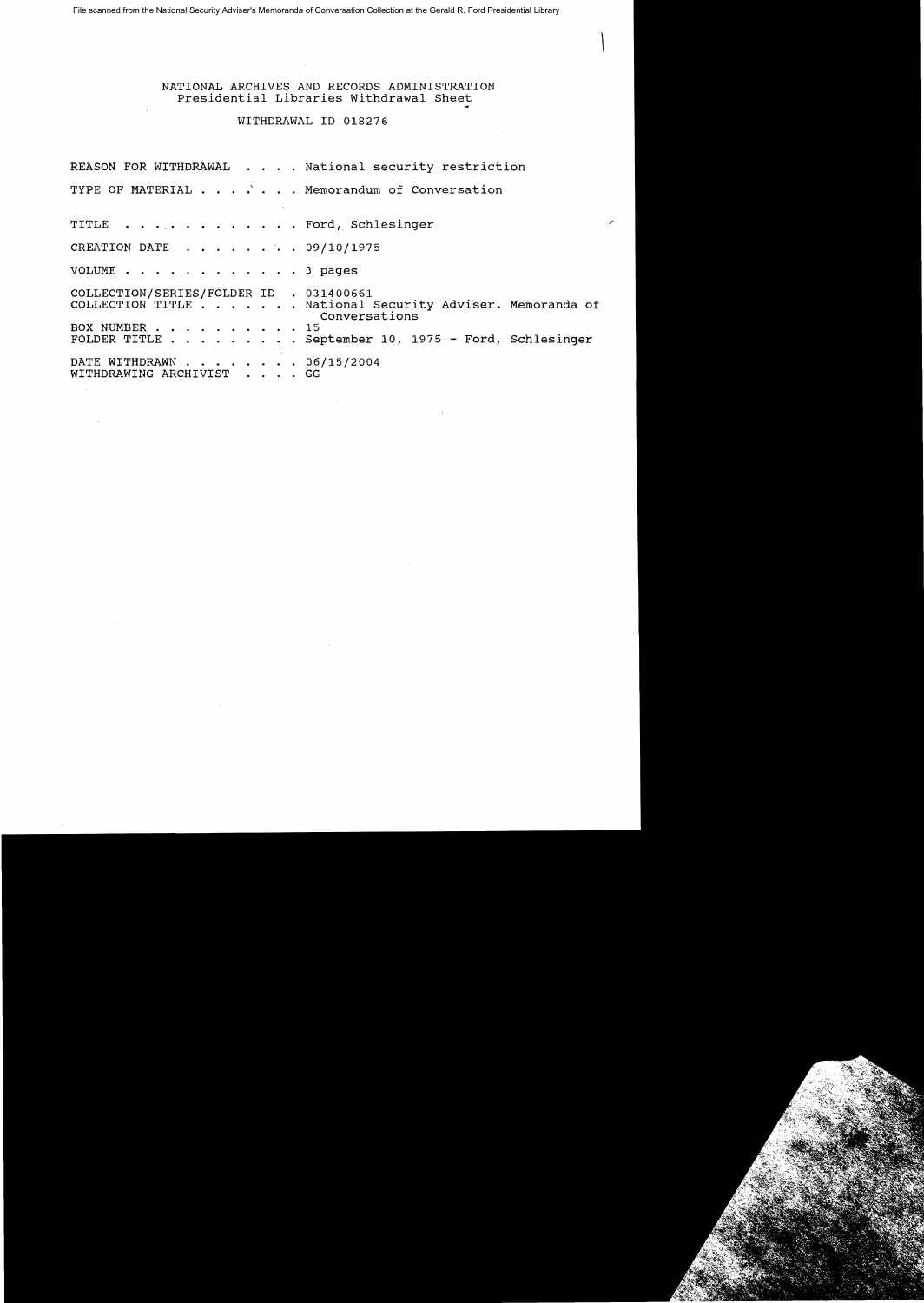File scanned from the National Security Adviser's Memoranda of Conversation Collection at the Gerald R. Ford Presidential Library

## NATIONAL ARCHIVES AND RECORDS ADMINISTRATION Presidential Libraries Withdrawal Sheet

 $\sqrt{2}$ 

## WITHDRAWAL ID 018276

REASON FOR WITHDRAWAL . . . . National security restriction TYPE OF MATERIAL  $\cdots$   $\cdots$  . . . Memorandum of Conversation TITLE . . . . . . . . . . . . Ford, Schlesinger CREATION DATE  $\ldots$   $\ldots$   $\ldots$  09/10/1975 VOLUME . . . . . . . . . . . . 3 pages COLLECTION/SERIES/FOLDER ID . 031400661 COLLECTION TITLE . . . . National Security Adviser. Memoranda of Conversations BOX NUMBER .. ...... 15 FOLDER TITLE.. . .... September 10, 1975 - Ford, Schlesinger DATE WITHDRAWN . . . . . . . 06/15/2004 WITHDRAWING ARCHIVIST . GG